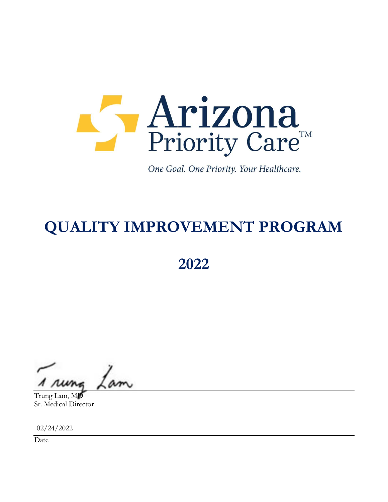

One Goal. One Priority. Your Healthcare.

# QUALITY IMPROVEMENT PROGRAM

2022

Trung Lam, MD Sr. Medical Director

02/24/2022

Date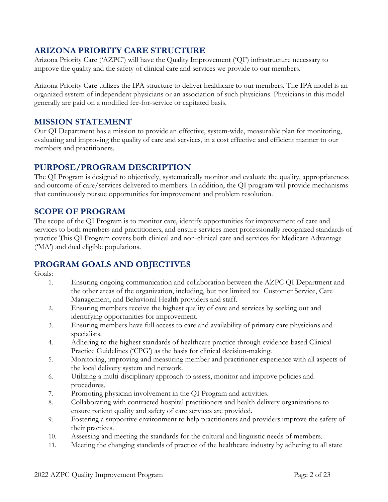# ARIZONA PRIORITY CARE STRUCTURE

Arizona Priority Care ('AZPC') will have the Quality Improvement ('QI') infrastructure necessary to improve the quality and the safety of clinical care and services we provide to our members.

Arizona Priority Care utilizes the IPA structure to deliver healthcare to our members. The IPA model is an organized system of independent physicians or an association of such physicians. Physicians in this model generally are paid on a modified fee-for-service or capitated basis.

## MISSION STATEMENT

Our QI Department has a mission to provide an effective, system-wide, measurable plan for monitoring, evaluating and improving the quality of care and services, in a cost effective and efficient manner to our members and practitioners.

# PURPOSE/PROGRAM DESCRIPTION

The QI Program is designed to objectively, systematically monitor and evaluate the quality, appropriateness and outcome of care/services delivered to members. In addition, the QI program will provide mechanisms that continuously pursue opportunities for improvement and problem resolution.

## SCOPE OF PROGRAM

The scope of the QI Program is to monitor care, identify opportunities for improvement of care and services to both members and practitioners, and ensure services meet professionally recognized standards of practice This QI Program covers both clinical and non-clinical care and services for Medicare Advantage ('MA') and dual eligible populations.

# PROGRAM GOALS AND OBJECTIVES

Goals:

- 1. Ensuring ongoing communication and collaboration between the AZPC QI Department and the other areas of the organization, including, but not limited to: Customer Service, Care Management, and Behavioral Health providers and staff.
- 2. Ensuring members receive the highest quality of care and services by seeking out and identifying opportunities for improvement.
- 3. Ensuring members have full access to care and availability of primary care physicians and specialists.
- 4. Adhering to the highest standards of healthcare practice through evidence-based Clinical Practice Guidelines ('CPG') as the basis for clinical decision-making.
- 5. Monitoring, improving and measuring member and practitioner experience with all aspects of the local delivery system and network.
- 6. Utilizing a multi-disciplinary approach to assess, monitor and improve policies and procedures.
- 7. Promoting physician involvement in the QI Program and activities.
- 8. Collaborating with contracted hospital practitioners and health delivery organizations to ensure patient quality and safety of care services are provided.
- 9. Fostering a supportive environment to help practitioners and providers improve the safety of their practices.
- 10. Assessing and meeting the standards for the cultural and linguistic needs of members.
- 11. Meeting the changing standards of practice of the healthcare industry by adhering to all state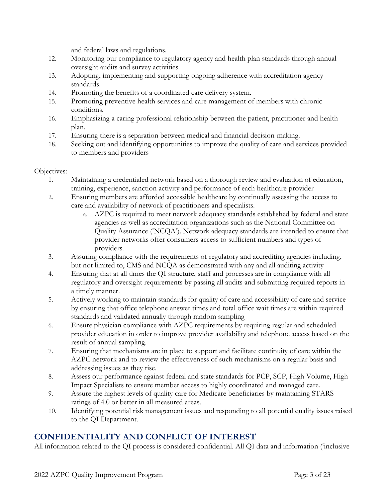and federal laws and regulations.

- 12. Monitoring our compliance to regulatory agency and health plan standards through annual oversight audits and survey activities
- 13. Adopting, implementing and supporting ongoing adherence with accreditation agency standards.
- 14. Promoting the benefits of a coordinated care delivery system.
- 15. Promoting preventive health services and care management of members with chronic conditions.
- 16. Emphasizing a caring professional relationship between the patient, practitioner and health plan.
- 17. Ensuring there is a separation between medical and financial decision-making.
- 18. Seeking out and identifying opportunities to improve the quality of care and services provided to members and providers

#### Objectives:

- 1. Maintaining a credentialed network based on a thorough review and evaluation of education, training, experience, sanction activity and performance of each healthcare provider
- 2. Ensuring members are afforded accessible healthcare by continually assessing the access to care and availability of network of practitioners and specialists.
	- a. AZPC is required to meet network adequacy standards established by federal and state agencies as well as accreditation organizations such as the National Committee on Quality Assurance ('NCQA'). Network adequacy standards are intended to ensure that provider networks offer consumers access to sufficient numbers and types of providers.
- 3. Assuring compliance with the requirements of regulatory and accrediting agencies including, but not limited to, CMS and NCQA as demonstrated with any and all auditing activity
- 4. Ensuring that at all times the QI structure, staff and processes are in compliance with all regulatory and oversight requirements by passing all audits and submitting required reports in a timely manner.
- 5. Actively working to maintain standards for quality of care and accessibility of care and service by ensuring that office telephone answer times and total office wait times are within required standards and validated annually through random sampling
- 6. Ensure physician compliance with AZPC requirements by requiring regular and scheduled provider education in order to improve provider availability and telephone access based on the result of annual sampling.
- 7. Ensuring that mechanisms are in place to support and facilitate continuity of care within the AZPC network and to review the effectiveness of such mechanisms on a regular basis and addressing issues as they rise.
- 8. Assess our performance against federal and state standards for PCP, SCP, High Volume, High Impact Specialists to ensure member access to highly coordinated and managed care.
- 9. Assure the highest levels of quality care for Medicare beneficiaries by maintaining STARS ratings of 4.0 or better in all measured areas.
- 10. Identifying potential risk management issues and responding to all potential quality issues raised to the QI Department.

# CONFIDENTIALITY AND CONFLICT OF INTEREST

All information related to the QI process is considered confidential. All QI data and information ('inclusive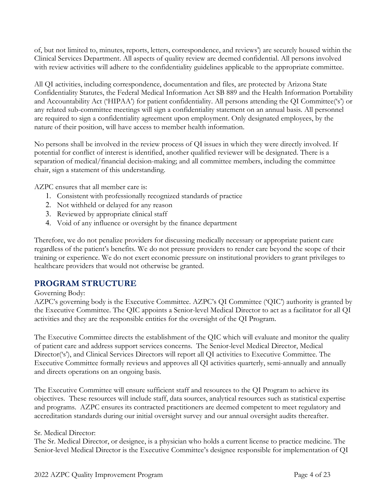of, but not limited to, minutes, reports, letters, correspondence, and reviews') are securely housed within the Clinical Services Department. All aspects of quality review are deemed confidential. All persons involved with review activities will adhere to the confidentiality guidelines applicable to the appropriate committee.

All QI activities, including correspondence, documentation and files, are protected by Arizona State Confidentiality Statutes, the Federal Medical Information Act SB 889 and the Health Information Portability and Accountability Act ('HIPAA') for patient confidentiality. All persons attending the QI Committee('s') or any related sub-committee meetings will sign a confidentiality statement on an annual basis. All personnel are required to sign a confidentiality agreement upon employment. Only designated employees, by the nature of their position, will have access to member health information.

No persons shall be involved in the review process of QI issues in which they were directly involved. If potential for conflict of interest is identified, another qualified reviewer will be designated. There is a separation of medical/financial decision-making; and all committee members, including the committee chair, sign a statement of this understanding.

AZPC ensures that all member care is:

- 1. Consistent with professionally recognized standards of practice
- 2. Not withheld or delayed for any reason
- 3. Reviewed by appropriate clinical staff
- 4. Void of any influence or oversight by the finance department

Therefore, we do not penalize providers for discussing medically necessary or appropriate patient care regardless of the patient's benefits. We do not pressure providers to render care beyond the scope of their training or experience. We do not exert economic pressure on institutional providers to grant privileges to healthcare providers that would not otherwise be granted.

# PROGRAM STRUCTURE

#### Governing Body:

AZPC's governing body is the Executive Committee. AZPC's QI Committee ('QIC') authority is granted by the Executive Committee. The QIC appoints a Senior-level Medical Director to act as a facilitator for all QI activities and they are the responsible entities for the oversight of the QI Program.

The Executive Committee directs the establishment of the QIC which will evaluate and monitor the quality of patient care and address support services concerns. The Senior-level Medical Director, Medical Director('s'), and Clinical Services Directors will report all QI activities to Executive Committee. The Executive Committee formally reviews and approves all QI activities quarterly, semi-annually and annually and directs operations on an ongoing basis.

The Executive Committee will ensure sufficient staff and resources to the QI Program to achieve its objectives. These resources will include staff, data sources, analytical resources such as statistical expertise and programs. AZPC ensures its contracted practitioners are deemed competent to meet regulatory and accreditation standards during our initial oversight survey and our annual oversight audits thereafter.

#### Sr. Medical Director:

The Sr. Medical Director, or designee, is a physician who holds a current license to practice medicine. The Senior-level Medical Director is the Executive Committee's designee responsible for implementation of QI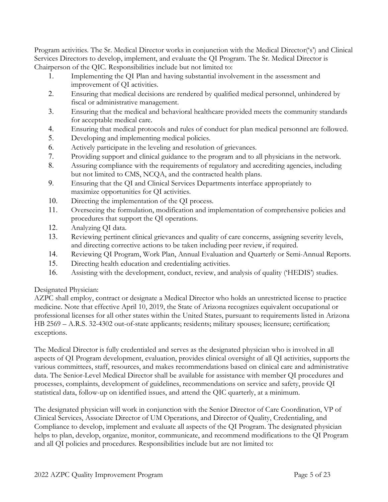Program activities. The Sr. Medical Director works in conjunction with the Medical Director('s') and Clinical Services Directors to develop, implement, and evaluate the QI Program. The Sr. Medical Director is Chairperson of the QIC. Responsibilities include but not limited to:

- 1. Implementing the QI Plan and having substantial involvement in the assessment and improvement of QI activities.
- 2. Ensuring that medical decisions are rendered by qualified medical personnel, unhindered by fiscal or administrative management.
- 3. Ensuring that the medical and behavioral healthcare provided meets the community standards for acceptable medical care.
- 4. Ensuring that medical protocols and rules of conduct for plan medical personnel are followed.
- 5. Developing and implementing medical policies.
- 6. Actively participate in the leveling and resolution of grievances.
- 7. Providing support and clinical guidance to the program and to all physicians in the network.
- 8. Assuring compliance with the requirements of regulatory and accrediting agencies, including but not limited to CMS, NCQA, and the contracted health plans.
- 9. Ensuring that the QI and Clinical Services Departments interface appropriately to maximize opportunities for QI activities.
- 10. Directing the implementation of the QI process.
- 11. Overseeing the formulation, modification and implementation of comprehensive policies and procedures that support the QI operations.
- 12. Analyzing QI data.
- 13. Reviewing pertinent clinical grievances and quality of care concerns, assigning severity levels, and directing corrective actions to be taken including peer review, if required.
- 14. Reviewing QI Program, Work Plan, Annual Evaluation and Quarterly or Semi-Annual Reports.
- 15. Directing health education and credentialing activities.
- 16. Assisting with the development, conduct, review, and analysis of quality ('HEDIS') studies.

## Designated Physician:

AZPC shall employ, contract or designate a Medical Director who holds an unrestricted license to practice medicine. Note that effective April 10, 2019, the State of Arizona recognizes equivalent occupational or professional licenses for all other states within the United States, pursuant to requirements listed in Arizona HB 2569 – A.R.S. 32-4302 out-of-state applicants; residents; military spouses; licensure; certification; exceptions.

The Medical Director is fully credentialed and serves as the designated physician who is involved in all aspects of QI Program development, evaluation, provides clinical oversight of all QI activities, supports the various committees, staff, resources, and makes recommendations based on clinical care and administrative data. The Senior-Level Medical Director shall be available for assistance with member QI procedures and processes, complaints, development of guidelines, recommendations on service and safety, provide QI statistical data, follow-up on identified issues, and attend the QIC quarterly, at a minimum.

The designated physician will work in conjunction with the Senior Director of Care Coordination, VP of Clinical Services, Associate Director of UM Operations, and Director of Quality, Credentialing, and Compliance to develop, implement and evaluate all aspects of the QI Program. The designated physician helps to plan, develop, organize, monitor, communicate, and recommend modifications to the QI Program and all QI policies and procedures. Responsibilities include but are not limited to: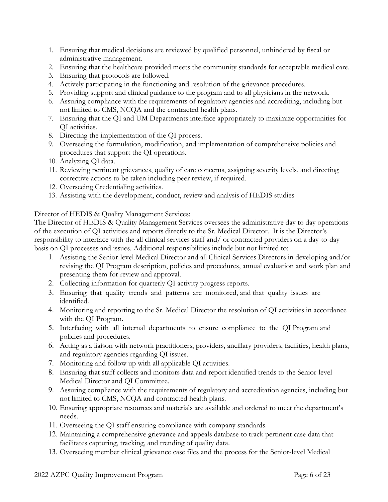- 1. Ensuring that medical decisions are reviewed by qualified personnel, unhindered by fiscal or administrative management.
- 2. Ensuring that the healthcare provided meets the community standards for acceptable medical care.
- 3. Ensuring that protocols are followed.
- 4. Actively participating in the functioning and resolution of the grievance procedures.
- 5. Providing support and clinical guidance to the program and to all physicians in the network.
- 6. Assuring compliance with the requirements of regulatory agencies and accrediting, including but not limited to CMS, NCQA and the contracted health plans.
- 7. Ensuring that the QI and UM Departments interface appropriately to maximize opportunities for QI activities.
- 8. Directing the implementation of the QI process.
- 9. Overseeing the formulation, modification, and implementation of comprehensive policies and procedures that support the QI operations.
- 10. Analyzing QI data.
- 11. Reviewing pertinent grievances, quality of care concerns, assigning severity levels, and directing corrective actions to be taken including peer review, if required.
- 12. Overseeing Credentialing activities.
- 13. Assisting with the development, conduct, review and analysis of HEDIS studies

#### Director of HEDIS & Quality Management Services:

The Director of HEDIS & Quality Management Services oversees the administrative day to day operations of the execution of QI activities and reports directly to the Sr. Medical Director. It is the Director's responsibility to interface with the all clinical services staff and/ or contracted providers on a day-to-day basis on QI processes and issues. Additional responsibilities include but not limited to:

- 1. Assisting the Senior-level Medical Director and all Clinical Services Directors in developing and/or revising the QI Program description, policies and procedures, annual evaluation and work plan and presenting them for review and approval.
- 2. Collecting information for quarterly QI activity progress reports.
- 3. Ensuring that quality trends and patterns are monitored, and that quality issues are identified.
- 4. Monitoring and reporting to the Sr. Medical Director the resolution of QI activities in accordance with the QI Program.
- 5. Interfacing with all internal departments to ensure compliance to the QI Program and policies and procedures.
- 6. Acting as a liaison with network practitioners, providers, ancillary providers, facilities, health plans, and regulatory agencies regarding QI issues.
- 7. Monitoring and follow up with all applicable QI activities.
- 8. Ensuring that staff collects and monitors data and report identified trends to the Senior-level Medical Director and QI Committee.
- 9. Assuring compliance with the requirements of regulatory and accreditation agencies, including but not limited to CMS, NCQA and contracted health plans.
- 10. Ensuring appropriate resources and materials are available and ordered to meet the department's needs.
- 11. Overseeing the QI staff ensuring compliance with company standards.
- 12. Maintaining a comprehensive grievance and appeals database to track pertinent case data that facilitates capturing, tracking, and trending of quality data.
- 13. Overseeing member clinical grievance case files and the process for the Senior-level Medical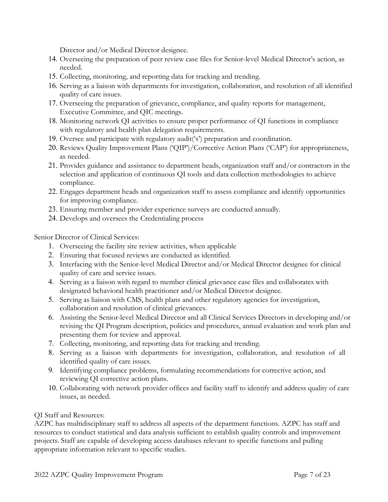Director and/or Medical Director designee.

- 14. Overseeing the preparation of peer review case files for Senior-level Medical Director's action, as needed.
- 15. Collecting, monitoring, and reporting data for tracking and trending.
- 16. Serving as a liaison with departments for investigation, collaboration, and resolution of all identified quality of care issues.
- 17. Overseeing the preparation of grievance, compliance, and quality reports for management, Executive Committee, and QIC meetings.
- 18. Monitoring network QI activities to ensure proper performance of QI functions in compliance with regulatory and health plan delegation requirements.
- 19. Oversee and participate with regulatory audit('s') preparation and coordination.
- 20. Reviews Quality Improvement Plans ('QIP')/Corrective Action Plans ('CAP') for appropriateness, as needed.
- 21. Provides guidance and assistance to department heads, organization staff and/or contractors in the selection and application of continuous QI tools and data collection methodologies to achieve compliance.
- 22. Engages department heads and organization staff to assess compliance and identify opportunities for improving compliance.
- 23. Ensuring member and provider experience surveys are conducted annually.
- 24. Develops and oversees the Credentialing process

Senior Director of Clinical Services:

- 1. Overseeing the facility site review activities, when applicable
- 2. Ensuring that focused reviews are conducted as identified.
- 3. Interfacing with the Senior-level Medical Director and/or Medical Director designee for clinical quality of care and service issues.
- 4. Serving as a liaison with regard to member clinical grievance case files and collaborates with designated behavioral health practitioner and/or Medical Director designee.
- 5. Serving as liaison with CMS, health plans and other regulatory agencies for investigation, collaboration and resolution of clinical grievances.
- 6. Assisting the Senior-level Medical Director and all Clinical Services Directors in developing and/or revising the QI Program description, policies and procedures, annual evaluation and work plan and presenting them for review and approval.
- 7. Collecting, monitoring, and reporting data for tracking and trending.
- 8. Serving as a liaison with departments for investigation, collaboration, and resolution of all identified quality of care issues.
- 9. Identifying compliance problems, formulating recommendations for corrective action, and reviewing QI corrective action plans.
- 10. Collaborating with network provider offices and facility staff to identify and address quality of care issues, as needed.

#### QI Staff and Resources:

AZPC has multidisciplinary staff to address all aspects of the department functions. AZPC has staff and resources to conduct statistical and data analysis sufficient to establish quality controls and improvement projects. Staff are capable of developing access databases relevant to specific functions and pulling appropriate information relevant to specific studies.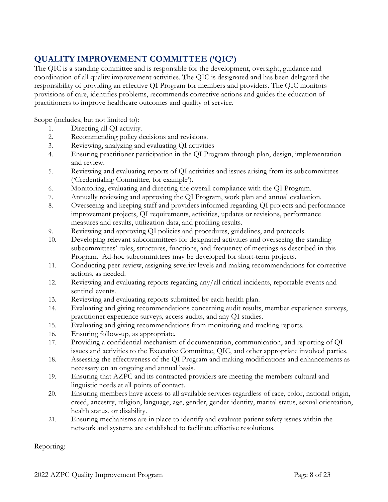# QUALITY IMPROVEMENT COMMITTEE ('QIC')

The QIC is a standing committee and is responsible for the development, oversight, guidance and coordination of all quality improvement activities. The QIC is designated and has been delegated the responsibility of providing an effective QI Program for members and providers. The QIC monitors provisions of care, identifies problems, recommends corrective actions and guides the education of practitioners to improve healthcare outcomes and quality of service.

Scope (includes, but not limited to):

- 1. Directing all QI activity.
- 2. Recommending policy decisions and revisions.
- 3. Reviewing, analyzing and evaluating QI activities
- 4. Ensuring practitioner participation in the QI Program through plan, design, implementation and review.
- 5. Reviewing and evaluating reports of QI activities and issues arising from its subcommittees ('Credentialing Committee, for example').
- 6. Monitoring, evaluating and directing the overall compliance with the QI Program.
- 7. Annually reviewing and approving the QI Program, work plan and annual evaluation.
- 8. Overseeing and keeping staff and providers informed regarding QI projects and performance improvement projects, QI requirements, activities, updates or revisions, performance measures and results, utilization data, and profiling results.
- 9. Reviewing and approving QI policies and procedures, guidelines, and protocols.
- 10. Developing relevant subcommittees for designated activities and overseeing the standing subcommittees' roles, structures, functions, and frequency of meetings as described in this Program. Ad-hoc subcommittees may be developed for short-term projects.
- 11. Conducting peer review, assigning severity levels and making recommendations for corrective actions, as needed.
- 12. Reviewing and evaluating reports regarding any/all critical incidents, reportable events and sentinel events.
- 13. Reviewing and evaluating reports submitted by each health plan.
- 14. Evaluating and giving recommendations concerning audit results, member experience surveys, practitioner experience surveys, access audits, and any QI studies.
- 15. Evaluating and giving recommendations from monitoring and tracking reports.
- 16. Ensuring follow-up, as appropriate.
- 17. Providing a confidential mechanism of documentation, communication, and reporting of QI issues and activities to the Executive Committee, QIC, and other appropriate involved parties.
- 18. Assessing the effectiveness of the QI Program and making modifications and enhancements as necessary on an ongoing and annual basis.
- 19. Ensuring that AZPC and its contracted providers are meeting the members cultural and linguistic needs at all points of contact.
- 20. Ensuring members have access to all available services regardless of race, color, national origin, creed, ancestry, religion, language, age, gender, gender identity, marital status, sexual orientation, health status, or disability.
- 21. Ensuring mechanisms are in place to identify and evaluate patient safety issues within the network and systems are established to facilitate effective resolutions.

Reporting: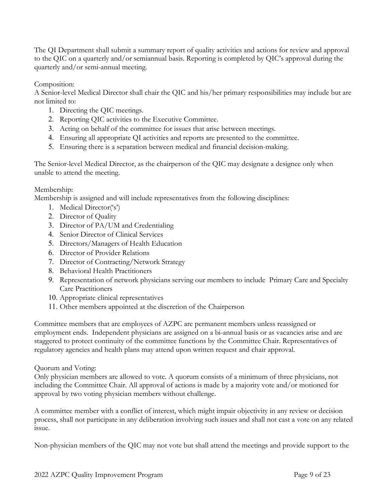The QI Department shall submit a summary report of quality activities and actions for review and approval to the QIC on a quarterly and/or semiannual basis. Reporting is completed by QIC's approval during the quarterly and/or semi-annual meeting.

Composition:

A Senior-level Medical Director shall chair the QIC and his/her primary responsibilities may include but are not limited to:

- 1. Directing the QIC meetings.
- 2. Reporting QIC activities to the Executive Committee.
- 3. Acting on behalf of the committee for issues that arise between meetings.
- 4. Ensuring all appropriate QI activities and reports are presented to the committee.
- 5. Ensuring there is a separation between medical and financial decision-making.

The Senior-level Medical Director, as the chairperson of the QIC may designate a designee only when unable to attend the meeting.

#### Membership:

Membership is assigned and will include representatives from the following disciplines:

- 1. Medical Director('s')
- 2. Director of Quality
- 3. Director of PA/UM and Credentialing
- 4. Senior Director of Clinical Services
- 5. Directors/Managers of Health Education
- 6. Director of Provider Relations
- 7. Director of Contracting/Network Strategy
- 8. Behavioral Health Practitioners
- 9. Representation of network physicians serving our members to include Primary Care and Specialty Care Practitioners
- 10. Appropriate clinical representatives
- 11. Other members appointed at the discretion of the Chairperson

Committee members that are employees of AZPC are permanent members unless reassigned or employment ends. Independent physicians are assigned on a bi-annual basis or as vacancies arise and are staggered to protect continuity of the committee functions by the Committee Chair. Representatives of regulatory agencies and health plans may attend upon written request and chair approval.

## Quorum and Voting:

Only physician members are allowed to vote. A quorum consists of a minimum of three physicians, not including the Committee Chair. All approval of actions is made by a majority vote and/or motioned for approval by two voting physician members without challenge.

A committee member with a conflict of interest, which might impair objectivity in any review or decision process, shall not participate in any deliberation involving such issues and shall not cast a vote on any related issue.

Non-physician members of the QIC may not vote but shall attend the meetings and provide support to the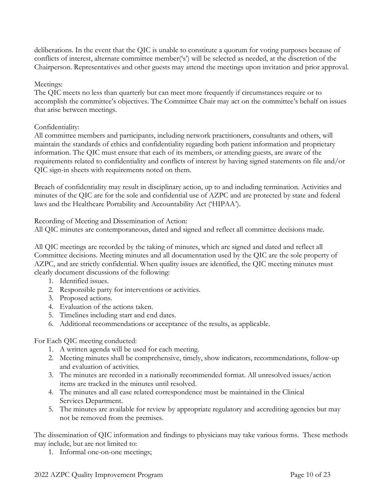deliberations. In the event that the QIC is unable to constitute a quorum for voting purposes because of conflicts of interest, alternate committee member('s') will be selected as needed, at the discretion of the Chairperson. Representatives and other guests may attend the meetings upon invitation and prior approval.

#### Meetings:

The QIC meets no less than quarterly but can meet more frequently if circumstances require or to accomplish the committee's objectives. The Committee Chair may act on the committee's behalf on issues that arise between meetings.

#### Confidentiality:

All committee members and participants, including network practitioners, consultants and others, will maintain the standards of ethics and confidentiality regarding both patient information and proprietary information. The QIC must ensure that each of its members, or attending guests, are aware of the requirements related to confidentiality and conflicts of interest by having signed statements on file and/or QIC sign-in sheets with requirements noted on them.

Breach of confidentiality may result in disciplinary action, up to and including termination. Activities and minutes of the QIC are for the sole and confidential use of AZPC and are protected by state and federal laws and the Healthcare Portability and Accountability Act ('HIPAA').

Recording of Meeting and Dissemination of Action:

All QIC minutes are contemporaneous, dated and signed and reflect all committee decisions made.

All QIC meetings are recorded by the taking of minutes, which are signed and dated and reflect all Committee decisions. Meeting minutes and all documentation used by the QIC are the sole property of AZPC, and are strictly confidential. When quality issues are identified, the QIC meeting minutes must clearly document discussions of the following:

- 1. Identified issues.
- 2. Responsible party for interventions or activities.
- 3. Proposed actions.
- 4. Evaluation of the actions taken.
- 5. Timelines including start and end dates.
- 6. Additional recommendations or acceptance of the results, as applicable.

For Each QIC meeting conducted:

- 1. A written agenda will be used for each meeting.
- 2. Meeting minutes shall be comprehensive, timely, show indicators, recommendations, follow-up and evaluation of activities.
- 3. The minutes are recorded in a nationally recommended format. All unresolved issues/action items are tracked in the minutes until resolved.
- 4. The minutes and all case related correspondence must be maintained in the Clinical Services Department.
- 5. The minutes are available for review by appropriate regulatory and accrediting agencies but may not be removed from the premises.

The dissemination of QIC information and findings to physicians may take various forms. These methods may include, but are not limited to:

1. Informal one-on-one meetings;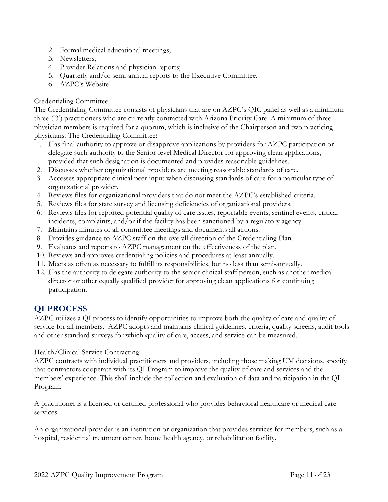- 2. Formal medical educational meetings;
- 3. Newsletters;
- 4. Provider Relations and physician reports;
- 5. Quarterly and/or semi-annual reports to the Executive Committee.
- 6. AZPC's Website

#### Credentialing Committee:

The Credentialing Committee consists of physicians that are on AZPC's QIC panel as well as a minimum three ('3') practitioners who are currently contracted with Arizona Priority Care. A minimum of three physician members is required for a quorum, which is inclusive of the Chairperson and two practicing physicians. The Credentialing Committee:

- 1. Has final authority to approve or disapprove applications by providers for AZPC participation or delegate such authority to the Senior-level Medical Director for approving clean applications, provided that such designation is documented and provides reasonable guidelines.
- 2. Discusses whether organizational providers are meeting reasonable standards of care.
- 3. Accesses appropriate clinical peer input when discussing standards of care for a particular type of organizational provider.
- 4. Reviews files for organizational providers that do not meet the AZPC's established criteria.
- 5. Reviews files for state survey and licensing deficiencies of organizational providers.
- 6. Reviews files for reported potential quality of care issues, reportable events, sentinel events, critical incidents, complaints, and/or if the facility has been sanctioned by a regulatory agency.
- 7. Maintains minutes of all committee meetings and documents all actions.
- 8. Provides guidance to AZPC staff on the overall direction of the Credentialing Plan.
- 9. Evaluates and reports to AZPC management on the effectiveness of the plan.
- 10. Reviews and approves credentialing policies and procedures at least annually.
- 11. Meets as often as necessary to fulfill its responsibilities, but no less than semi-annually.
- 12. Has the authority to delegate authority to the senior clinical staff person, such as another medical director or other equally qualified provider for approving clean applications for continuing participation.

# QI PROCESS

AZPC utilizes a QI process to identify opportunities to improve both the quality of care and quality of service for all members. AZPC adopts and maintains clinical guidelines, criteria, quality screens, audit tools and other standard surveys for which quality of care, access, and service can be measured.

Health/Clinical Service Contracting:

AZPC contracts with individual practitioners and providers, including those making UM decisions, specify that contractors cooperate with its QI Program to improve the quality of care and services and the members' experience. This shall include the collection and evaluation of data and participation in the QI Program.

A practitioner is a licensed or certified professional who provides behavioral healthcare or medical care services.

An organizational provider is an institution or organization that provides services for members, such as a hospital, residential treatment center, home health agency, or rehabilitation facility.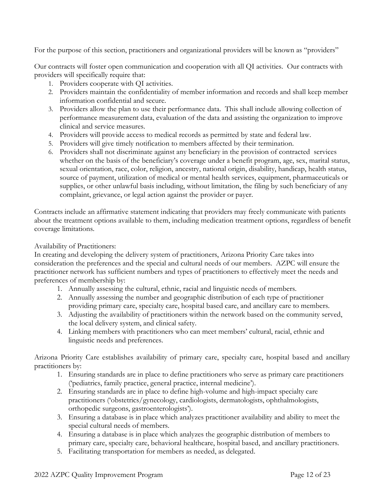For the purpose of this section, practitioners and organizational providers will be known as "providers"

Our contracts will foster open communication and cooperation with all QI activities. Our contracts with providers will specifically require that:

- 1. Providers cooperate with QI activities.
- 2. Providers maintain the confidentiality of member information and records and shall keep member information confidential and secure.
- 3. Providers allow the plan to use their performance data. This shall include allowing collection of performance measurement data, evaluation of the data and assisting the organization to improve clinical and service measures.
- 4. Providers will provide access to medical records as permitted by state and federal law.
- 5. Providers will give timely notification to members affected by their termination.
- 6. Providers shall not discriminate against any beneficiary in the provision of contracted services whether on the basis of the beneficiary's coverage under a benefit program, age, sex, marital status, sexual orientation, race, color, religion, ancestry, national origin, disability, handicap, health status, source of payment, utilization of medical or mental health services, equipment, pharmaceuticals or supplies, or other unlawful basis including, without limitation, the filing by such beneficiary of any complaint, grievance, or legal action against the provider or payer.

Contracts include an affirmative statement indicating that providers may freely communicate with patients about the treatment options available to them, including medication treatment options, regardless of benefit coverage limitations.

Availability of Practitioners:

In creating and developing the delivery system of practitioners, Arizona Priority Care takes into consideration the preferences and the special and cultural needs of our members. AZPC will ensure the practitioner network has sufficient numbers and types of practitioners to effectively meet the needs and preferences of membership by:

- 1. Annually assessing the cultural, ethnic, racial and linguistic needs of members.
- 2. Annually assessing the number and geographic distribution of each type of practitioner providing primary care, specialty care, hospital based care, and ancillary care to members.
- 3. Adjusting the availability of practitioners within the network based on the community served, the local delivery system, and clinical safety.
- 4. Linking members with practitioners who can meet members' cultural, racial, ethnic and linguistic needs and preferences.

Arizona Priority Care establishes availability of primary care, specialty care, hospital based and ancillary practitioners by:

- 1. Ensuring standards are in place to define practitioners who serve as primary care practitioners ('pediatrics, family practice, general practice, internal medicine').
- 2. Ensuring standards are in place to define high-volume and high-impact specialty care practitioners ('obstetrics/gynecology, cardiologists, dermatologists, ophthalmologists, orthopedic surgeons, gastroenterologists').
- 3. Ensuring a database is in place which analyzes practitioner availability and ability to meet the special cultural needs of members.
- 4. Ensuring a database is in place which analyzes the geographic distribution of members to primary care, specialty care, behavioral healthcare, hospital based, and ancillary practitioners.
- 5. Facilitating transportation for members as needed, as delegated.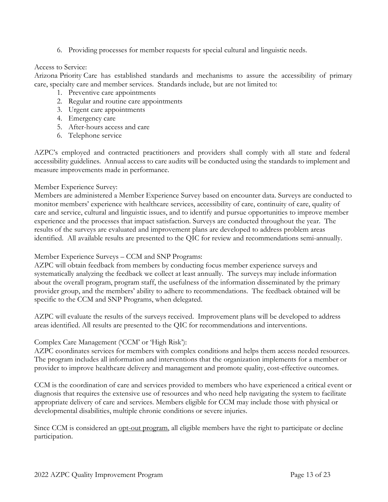6. Providing processes for member requests for special cultural and linguistic needs.

#### Access to Service:

Arizona Priority Care has established standards and mechanisms to assure the accessibility of primary care, specialty care and member services. Standards include, but are not limited to:

- 1. Preventive care appointments
- 2. Regular and routine care appointments
- 3. Urgent care appointments
- 4. Emergency care
- 5. After-hours access and care
- 6. Telephone service

AZPC's employed and contracted practitioners and providers shall comply with all state and federal accessibility guidelines. Annual access to care audits will be conducted using the standards to implement and measure improvements made in performance.

#### Member Experience Survey:

Members are administered a Member Experience Survey based on encounter data. Surveys are conducted to monitor members' experience with healthcare services, accessibility of care, continuity of care, quality of care and service, cultural and linguistic issues, and to identify and pursue opportunities to improve member experience and the processes that impact satisfaction. Surveys are conducted throughout the year. The results of the surveys are evaluated and improvement plans are developed to address problem areas identified. All available results are presented to the QIC for review and recommendations semi-annually.

#### Member Experience Surveys – CCM and SNP Programs:

AZPC will obtain feedback from members by conducting focus member experience surveys and systematically analyzing the feedback we collect at least annually. The surveys may include information about the overall program, program staff, the usefulness of the information disseminated by the primary provider group, and the members' ability to adhere to recommendations. The feedback obtained will be specific to the CCM and SNP Programs, when delegated.

AZPC will evaluate the results of the surveys received. Improvement plans will be developed to address areas identified. All results are presented to the QIC for recommendations and interventions.

#### Complex Care Management ('CCM' or 'High Risk'):

AZPC coordinates services for members with complex conditions and helps them access needed resources. The program includes all information and interventions that the organization implements for a member or provider to improve healthcare delivery and management and promote quality, cost-effective outcomes.

CCM is the coordination of care and services provided to members who have experienced a critical event or diagnosis that requires the extensive use of resources and who need help navigating the system to facilitate appropriate delivery of care and services. Members eligible for CCM may include those with physical or developmental disabilities, multiple chronic conditions or severe injuries.

Since CCM is considered an opt-out program, all eligible members have the right to participate or decline participation.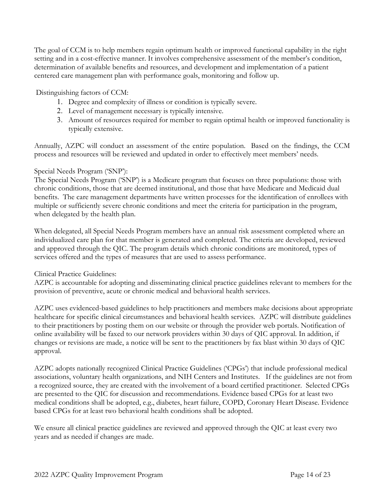The goal of CCM is to help members regain optimum health or improved functional capability in the right setting and in a cost-effective manner. It involves comprehensive assessment of the member's condition, determination of available benefits and resources, and development and implementation of a patient centered care management plan with performance goals, monitoring and follow up.

Distinguishing factors of CCM:

- 1. Degree and complexity of illness or condition is typically severe.
- 2. Level of management necessary is typically intensive.
- 3. Amount of resources required for member to regain optimal health or improved functionality is typically extensive.

Annually, AZPC will conduct an assessment of the entire population. Based on the findings, the CCM process and resources will be reviewed and updated in order to effectively meet members' needs.

#### Special Needs Program ('SNP'):

The Special Needs Program ('SNP') is a Medicare program that focuses on three populations: those with chronic conditions, those that are deemed institutional, and those that have Medicare and Medicaid dual benefits. The care management departments have written processes for the identification of enrollees with multiple or sufficiently severe chronic conditions and meet the criteria for participation in the program, when delegated by the health plan.

When delegated, all Special Needs Program members have an annual risk assessment completed where an individualized care plan for that member is generated and completed. The criteria are developed, reviewed and approved through the QIC. The program details which chronic conditions are monitored, types of services offered and the types of measures that are used to assess performance.

Clinical Practice Guidelines:

AZPC is accountable for adopting and disseminating clinical practice guidelines relevant to members for the provision of preventive, acute or chronic medical and behavioral health services.

AZPC uses evidenced-based guidelines to help practitioners and members make decisions about appropriate healthcare for specific clinical circumstances and behavioral health services. AZPC will distribute guidelines to their practitioners by posting them on our website or through the provider web portals. Notification of online availability will be faxed to our network providers within 30 days of QIC approval. In addition, if changes or revisions are made, a notice will be sent to the practitioners by fax blast within 30 days of QIC approval.

AZPC adopts nationally recognized Clinical Practice Guidelines ('CPGs') that include professional medical associations, voluntary health organizations, and NIH Centers and Institutes. If the guidelines are not from a recognized source, they are created with the involvement of a board certified practitioner. Selected CPGs are presented to the QIC for discussion and recommendations. Evidence based CPGs for at least two medical conditions shall be adopted, e.g., diabetes, heart failure, COPD, Coronary Heart Disease. Evidence based CPGs for at least two behavioral health conditions shall be adopted.

We ensure all clinical practice guidelines are reviewed and approved through the QIC at least every two years and as needed if changes are made.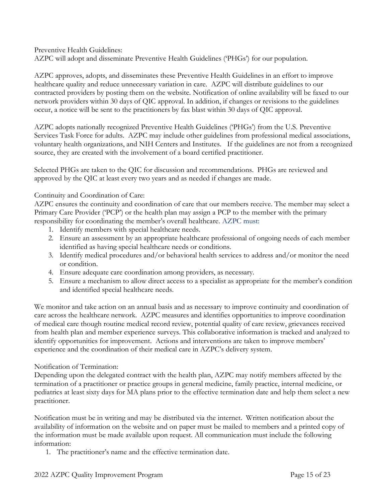Preventive Health Guidelines: AZPC will adopt and disseminate Preventive Health Guidelines ('PHGs') for our population.

AZPC approves, adopts, and disseminates these Preventive Health Guidelines in an effort to improve healthcare quality and reduce unnecessary variation in care. AZPC will distribute guidelines to our contracted providers by posting them on the website. Notification of online availability will be faxed to our network providers within 30 days of QIC approval. In addition, if changes or revisions to the guidelines occur, a notice will be sent to the practitioners by fax blast within 30 days of QIC approval.

AZPC adopts nationally recognized Preventive Health Guidelines ('PHGs') from the U.S. Preventive Services Task Force for adults. AZPC may include other guidelines from professional medical associations, voluntary health organizations, and NIH Centers and Institutes. If the guidelines are not from a recognized source, they are created with the involvement of a board certified practitioner.

Selected PHGs are taken to the QIC for discussion and recommendations. PHGs are reviewed and approved by the QIC at least every two years and as needed if changes are made.

#### Continuity and Coordination of Care:

AZPC ensures the continuity and coordination of care that our members receive. The member may select a Primary Care Provider ('PCP') or the health plan may assign a PCP to the member with the primary responsibility for coordinating the member's overall healthcare. AZPC must:

- 1. Identify members with special healthcare needs.
- 2. Ensure an assessment by an appropriate healthcare professional of ongoing needs of each member identified as having special healthcare needs or conditions.
- 3. Identify medical procedures and/or behavioral health services to address and/or monitor the need or condition.
- 4. Ensure adequate care coordination among providers, as necessary.
- 5. Ensure a mechanism to allow direct access to a specialist as appropriate for the member's condition and identified special healthcare needs.

We monitor and take action on an annual basis and as necessary to improve continuity and coordination of care across the healthcare network. AZPC measures and identifies opportunities to improve coordination of medical care though routine medical record review, potential quality of care review, grievances received from health plan and member experience surveys. This collaborative information is tracked and analyzed to identify opportunities for improvement. Actions and interventions are taken to improve members' experience and the coordination of their medical care in AZPC's delivery system.

#### Notification of Termination:

Depending upon the delegated contract with the health plan, AZPC may notify members affected by the termination of a practitioner or practice groups in general medicine, family practice, internal medicine, or pediatrics at least sixty days for MA plans prior to the effective termination date and help them select a new practitioner.

Notification must be in writing and may be distributed via the internet. Written notification about the availability of information on the website and on paper must be mailed to members and a printed copy of the information must be made available upon request. All communication must include the following information:

1. The practitioner's name and the effective termination date.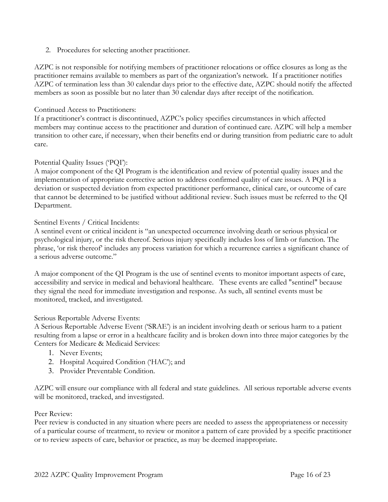2. Procedures for selecting another practitioner.

AZPC is not responsible for notifying members of practitioner relocations or office closures as long as the practitioner remains available to members as part of the organization's network. If a practitioner notifies AZPC of termination less than 30 calendar days prior to the effective date, AZPC should notify the affected members as soon as possible but no later than 30 calendar days after receipt of the notification.

#### Continued Access to Practitioners:

If a practitioner's contract is discontinued, AZPC's policy specifies circumstances in which affected members may continue access to the practitioner and duration of continued care. AZPC will help a member transition to other care, if necessary, when their benefits end or during transition from pediatric care to adult care.

#### Potential Quality Issues ('PQI'):

A major component of the QI Program is the identification and review of potential quality issues and the implementation of appropriate corrective action to address confirmed quality of care issues. A PQI is a deviation or suspected deviation from expected practitioner performance, clinical care, or outcome of care that cannot be determined to be justified without additional review. Such issues must be referred to the QI Department.

#### Sentinel Events / Critical Incidents:

A sentinel event or critical incident is "an unexpected occurrence involving death or serious physical or psychological injury, or the risk thereof. Serious injury specifically includes loss of limb or function. The phrase, 'or risk thereof' includes any process variation for which a recurrence carries a significant chance of a serious adverse outcome."

A major component of the QI Program is the use of sentinel events to monitor important aspects of care, accessibility and service in medical and behavioral healthcare. These events are called "sentinel" because they signal the need for immediate investigation and response. As such, all sentinel events must be monitored, tracked, and investigated.

#### Serious Reportable Adverse Events:

A Serious Reportable Adverse Event ('SRAE') is an incident involving death or serious harm to a patient resulting from a lapse or error in a healthcare facility and is broken down into three major categories by the Centers for Medicare & Medicaid Services:

- 1. Never Events;
- 2. Hospital Acquired Condition ('HAC'); and
- 3. Provider Preventable Condition.

AZPC will ensure our compliance with all federal and state guidelines. All serious reportable adverse events will be monitored, tracked, and investigated.

#### Peer Review:

Peer review is conducted in any situation where peers are needed to assess the appropriateness or necessity of a particular course of treatment, to review or monitor a pattern of care provided by a specific practitioner or to review aspects of care, behavior or practice, as may be deemed inappropriate.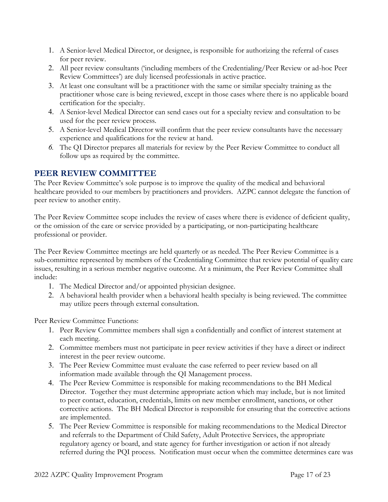- 1. A Senior-level Medical Director, or designee, is responsible for authorizing the referral of cases for peer review.
- 2. All peer review consultants ('including members of the Credentialing/Peer Review or ad-hoc Peer Review Committees') are duly licensed professionals in active practice.
- 3. At least one consultant will be a practitioner with the same or similar specialty training as the practitioner whose care is being reviewed, except in those cases where there is no applicable board certification for the specialty.
- 4. A Senior-level Medical Director can send cases out for a specialty review and consultation to be used for the peer review process.
- 5. A Senior-level Medical Director will confirm that the peer review consultants have the necessary experience and qualifications for the review at hand.
- 6. The QI Director prepares all materials for review by the Peer Review Committee to conduct all follow ups as required by the committee.

# PEER REVIEW COMMITTEE

The Peer Review Committee's sole purpose is to improve the quality of the medical and behavioral healthcare provided to our members by practitioners and providers. AZPC cannot delegate the function of peer review to another entity.

The Peer Review Committee scope includes the review of cases where there is evidence of deficient quality, or the omission of the care or service provided by a participating, or non-participating healthcare professional or provider.

The Peer Review Committee meetings are held quarterly or as needed. The Peer Review Committee is a sub-committee represented by members of the Credentialing Committee that review potential of quality care issues, resulting in a serious member negative outcome. At a minimum, the Peer Review Committee shall include:

- 1. The Medical Director and/or appointed physician designee.
- 2. A behavioral health provider when a behavioral health specialty is being reviewed. The committee may utilize peers through external consultation.

Peer Review Committee Functions:

- 1. Peer Review Committee members shall sign a confidentially and conflict of interest statement at each meeting.
- 2. Committee members must not participate in peer review activities if they have a direct or indirect interest in the peer review outcome.
- 3. The Peer Review Committee must evaluate the case referred to peer review based on all information made available through the QI Management process.
- 4. The Peer Review Committee is responsible for making recommendations to the BH Medical Director. Together they must determine appropriate action which may include, but is not limited to peer contact, education, credentials, limits on new member enrollment, sanctions, or other corrective actions. The BH Medical Director is responsible for ensuring that the corrective actions are implemented.
- 5. The Peer Review Committee is responsible for making recommendations to the Medical Director and referrals to the Department of Child Safety, Adult Protective Services, the appropriate regulatory agency or board, and state agency for further investigation or action if not already referred during the PQI process. Notification must occur when the committee determines care was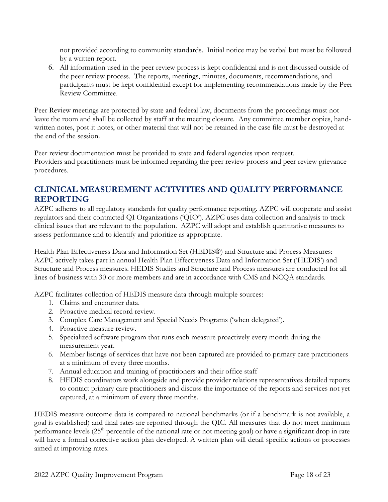not provided according to community standards. Initial notice may be verbal but must be followed by a written report.

6. All information used in the peer review process is kept confidential and is not discussed outside of the peer review process. The reports, meetings, minutes, documents, recommendations, and participants must be kept confidential except for implementing recommendations made by the Peer Review Committee.

Peer Review meetings are protected by state and federal law, documents from the proceedings must not leave the room and shall be collected by staff at the meeting closure. Any committee member copies, handwritten notes, post-it notes, or other material that will not be retained in the case file must be destroyed at the end of the session.

Peer review documentation must be provided to state and federal agencies upon request. Providers and practitioners must be informed regarding the peer review process and peer review grievance procedures.

# CLINICAL MEASUREMENT ACTIVITIES AND QUALITY PERFORMANCE REPORTING

AZPC adheres to all regulatory standards for quality performance reporting. AZPC will cooperate and assist regulators and their contracted QI Organizations ('QIO'). AZPC uses data collection and analysis to track clinical issues that are relevant to the population. AZPC will adopt and establish quantitative measures to assess performance and to identify and prioritize as appropriate.

Health Plan Effectiveness Data and Information Set (HEDIS®) and Structure and Process Measures: AZPC actively takes part in annual Health Plan Effectiveness Data and Information Set ('HEDIS') and Structure and Process measures. HEDIS Studies and Structure and Process measures are conducted for all lines of business with 30 or more members and are in accordance with CMS and NCQA standards.

AZPC facilitates collection of HEDIS measure data through multiple sources:

- 1. Claims and encounter data.
- 2. Proactive medical record review.
- 3. Complex Care Management and Special Needs Programs ('when delegated').
- 4. Proactive measure review.
- 5. Specialized software program that runs each measure proactively every month during the measurement year.
- 6. Member listings of services that have not been captured are provided to primary care practitioners at a minimum of every three months.
- 7. Annual education and training of practitioners and their office staff
- 8. HEDIS coordinators work alongside and provide provider relations representatives detailed reports to contact primary care practitioners and discuss the importance of the reports and services not yet captured, at a minimum of every three months.

HEDIS measure outcome data is compared to national benchmarks (or if a benchmark is not available, a goal is established) and final rates are reported through the QIC. All measures that do not meet minimum performance levels  $(25<sup>th</sup>$  percentile of the national rate or not meeting goal) or have a significant drop in rate will have a formal corrective action plan developed. A written plan will detail specific actions or processes aimed at improving rates.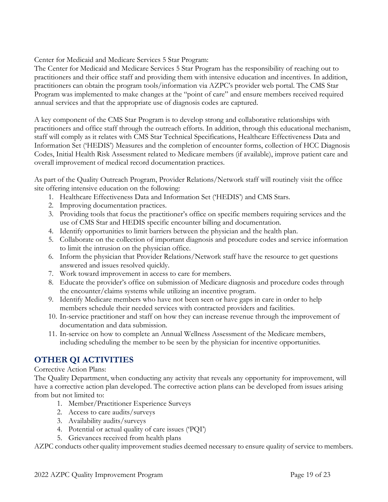Center for Medicaid and Medicare Services 5 Star Program:

The Center for Medicaid and Medicare Services 5 Star Program has the responsibility of reaching out to practitioners and their office staff and providing them with intensive education and incentives. In addition, practitioners can obtain the program tools/information via AZPC's provider web portal. The CMS Star Program was implemented to make changes at the "point of care" and ensure members received required annual services and that the appropriate use of diagnosis codes are captured.

A key component of the CMS Star Program is to develop strong and collaborative relationships with practitioners and office staff through the outreach efforts. In addition, through this educational mechanism, staff will comply as it relates with CMS Star Technical Specifications, Healthcare Effectiveness Data and Information Set ('HEDIS') Measures and the completion of encounter forms, collection of HCC Diagnosis Codes, Initial Health Risk Assessment related to Medicare members (if available), improve patient care and overall improvement of medical record documentation practices.

As part of the Quality Outreach Program, Provider Relations/Network staff will routinely visit the office site offering intensive education on the following:

- 1. Healthcare Effectiveness Data and Information Set ('HEDIS') and CMS Stars.
- 2. Improving documentation practices.
- 3. Providing tools that focus the practitioner's office on specific members requiring services and the use of CMS Star and HEDIS specific encounter billing and documentation.
- 4. Identify opportunities to limit barriers between the physician and the health plan.
- 5. Collaborate on the collection of important diagnosis and procedure codes and service information to limit the intrusion on the physician office.
- 6. Inform the physician that Provider Relations/Network staff have the resource to get questions answered and issues resolved quickly.
- 7. Work toward improvement in access to care for members.
- 8. Educate the provider's office on submission of Medicare diagnosis and procedure codes through the encounter/claims systems while utilizing an incentive program.
- 9. Identify Medicare members who have not been seen or have gaps in care in order to help members schedule their needed services with contracted providers and facilities.
- 10. In-service practitioner and staff on how they can increase revenue through the improvement of documentation and data submission.
- 11. In-service on how to complete an Annual Wellness Assessment of the Medicare members, including scheduling the member to be seen by the physician for incentive opportunities.

# OTHER QI ACTIVITIES

Corrective Action Plans:

The Quality Department, when conducting any activity that reveals any opportunity for improvement, will have a corrective action plan developed. The corrective action plans can be developed from issues arising from but not limited to:

- 1. Member/Practitioner Experience Surveys
- 2. Access to care audits/surveys
- 3. Availability audits/surveys
- 4. Potential or actual quality of care issues ('PQI')
- 5. Grievances received from health plans

AZPC conducts other quality improvement studies deemed necessary to ensure quality of service to members.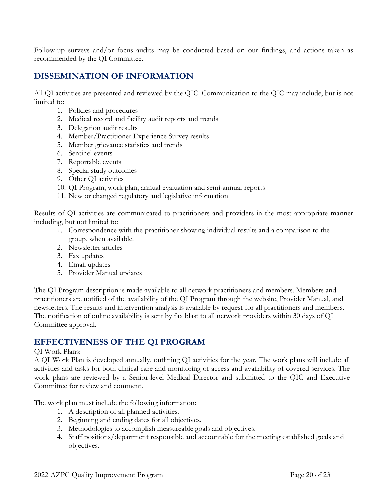Follow-up surveys and/or focus audits may be conducted based on our findings, and actions taken as recommended by the QI Committee.

# DISSEMINATION OF INFORMATION

All QI activities are presented and reviewed by the QIC. Communication to the QIC may include, but is not limited to:

- 1. Policies and procedures
- 2. Medical record and facility audit reports and trends
- 3. Delegation audit results
- 4. Member/Practitioner Experience Survey results
- 5. Member grievance statistics and trends
- 6. Sentinel events
- 7. Reportable events
- 8. Special study outcomes
- 9. Other QI activities
- 10. QI Program, work plan, annual evaluation and semi-annual reports
- 11. New or changed regulatory and legislative information

Results of QI activities are communicated to practitioners and providers in the most appropriate manner including, but not limited to:

- 1. Correspondence with the practitioner showing individual results and a comparison to the group, when available.
- 2. Newsletter articles
- 3. Fax updates
- 4. Email updates
- 5. Provider Manual updates

The QI Program description is made available to all network practitioners and members. Members and practitioners are notified of the availability of the QI Program through the website, Provider Manual, and newsletters. The results and intervention analysis is available by request for all practitioners and members. The notification of online availability is sent by fax blast to all network providers within 30 days of QI Committee approval.

# EFFECTIVENESS OF THE QI PROGRAM

#### QI Work Plans:

A QI Work Plan is developed annually, outlining QI activities for the year. The work plans will include all activities and tasks for both clinical care and monitoring of access and availability of covered services. The work plans are reviewed by a Senior-level Medical Director and submitted to the QIC and Executive Committee for review and comment.

The work plan must include the following information:

- 1. A description of all planned activities.
- 2. Beginning and ending dates for all objectives.
- 3. Methodologies to accomplish measureable goals and objectives.
- 4. Staff positions/department responsible and accountable for the meeting established goals and objectives.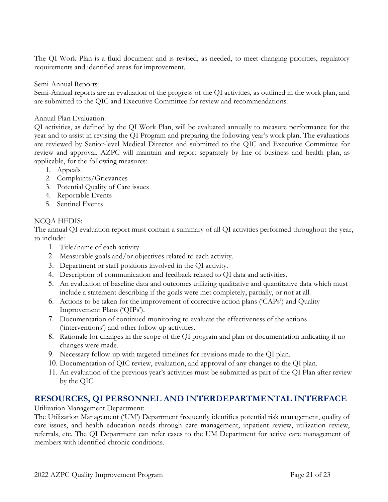The QI Work Plan is a fluid document and is revised, as needed, to meet changing priorities, regulatory requirements and identified areas for improvement.

Semi-Annual Reports:

Semi-Annual reports are an evaluation of the progress of the QI activities, as outlined in the work plan, and are submitted to the QIC and Executive Committee for review and recommendations.

Annual Plan Evaluation:

QI activities, as defined by the QI Work Plan, will be evaluated annually to measure performance for the year and to assist in revising the QI Program and preparing the following year's work plan. The evaluations are reviewed by Senior-level Medical Director and submitted to the QIC and Executive Committee for review and approval. AZPC will maintain and report separately by line of business and health plan, as applicable, for the following measures:

- 1. Appeals
- 2. Complaints/Grievances
- 3. Potential Quality of Care issues
- 4. Reportable Events
- 5. Sentinel Events

#### NCQA HEDIS:

The annual QI evaluation report must contain a summary of all QI activities performed throughout the year, to include:

- 1. Title/name of each activity.
- 2. Measurable goals and/or objectives related to each activity.
- 3. Department or staff positions involved in the QI activity.
- 4. Description of communication and feedback related to QI data and activities.
- 5. An evaluation of baseline data and outcomes utilizing qualitative and quantitative data which must include a statement describing if the goals were met completely, partially, or not at all.
- 6. Actions to be taken for the improvement of corrective action plans ('CAPs') and Quality Improvement Plans ('QIPs').
- 7. Documentation of continued monitoring to evaluate the effectiveness of the actions ('interventions') and other follow up activities.
- 8. Rationale for changes in the scope of the QI program and plan or documentation indicating if no changes were made.
- 9. Necessary follow-up with targeted timelines for revisions made to the QI plan.
- 10. Documentation of QIC review, evaluation, and approval of any changes to the QI plan.
- 11. An evaluation of the previous year's activities must be submitted as part of the QI Plan after review by the QIC.

## RESOURCES, QI PERSONNEL AND INTERDEPARTMENTAL INTERFACE

Utilization Management Department:

The Utilization Management ('UM') Department frequently identifies potential risk management, quality of care issues, and health education needs through care management, inpatient review, utilization review, referrals, etc. The QI Department can refer cases to the UM Department for active care management of members with identified chronic conditions.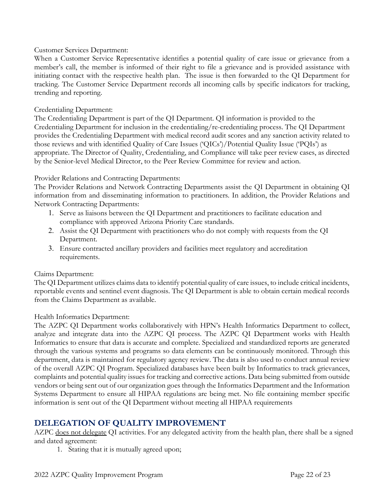#### Customer Services Department:

When a Customer Service Representative identifies a potential quality of care issue or grievance from a member's call, the member is informed of their right to file a grievance and is provided assistance with initiating contact with the respective health plan. The issue is then forwarded to the QI Department for tracking. The Customer Service Department records all incoming calls by specific indicators for tracking, trending and reporting.

#### Credentialing Department:

The Credentialing Department is part of the QI Department. QI information is provided to the Credentialing Department for inclusion in the credentialing/re-credentialing process. The QI Department provides the Credentialing Department with medical record audit scores and any sanction activity related to those reviews and with identified Quality of Care Issues ('QICs')/Potential Quality Issue ('PQIs') as appropriate. The Director of Quality, Credentialing, and Compliance will take peer review cases, as directed by the Senior-level Medical Director, to the Peer Review Committee for review and action.

#### Provider Relations and Contracting Departments:

The Provider Relations and Network Contracting Departments assist the QI Department in obtaining QI information from and disseminating information to practitioners. In addition, the Provider Relations and Network Contracting Departments:

- 1. Serve as liaisons between the QI Department and practitioners to facilitate education and compliance with approved Arizona Priority Care standards.
- 2. Assist the QI Department with practitioners who do not comply with requests from the QI Department.
- 3. Ensure contracted ancillary providers and facilities meet regulatory and accreditation requirements.

#### Claims Department:

The QI Department utilizes claims data to identify potential quality of care issues, to include critical incidents, reportable events and sentinel event diagnosis. The QI Department is able to obtain certain medical records from the Claims Department as available.

#### Health Informatics Department:

The AZPC QI Department works collaboratively with HPN's Health Informatics Department to collect, analyze and integrate data into the AZPC QI process. The AZPC QI Department works with Health Informatics to ensure that data is accurate and complete. Specialized and standardized reports are generated through the various systems and programs so data elements can be continuously monitored. Through this department, data is maintained for regulatory agency review. The data is also used to conduct annual review of the overall AZPC QI Program. Specialized databases have been built by Informatics to track grievances, complaints and potential quality issues for tracking and corrective actions. Data being submitted from outside vendors or being sent out of our organization goes through the Informatics Department and the Information Systems Department to ensure all HIPAA regulations are being met. No file containing member specific information is sent out of the QI Department without meeting all HIPAA requirements

## DELEGATION OF QUALITY IMPROVEMENT

AZPC does not delegate QI activities. For any delegated activity from the health plan, there shall be a signed and dated agreement:

1. Stating that it is mutually agreed upon;